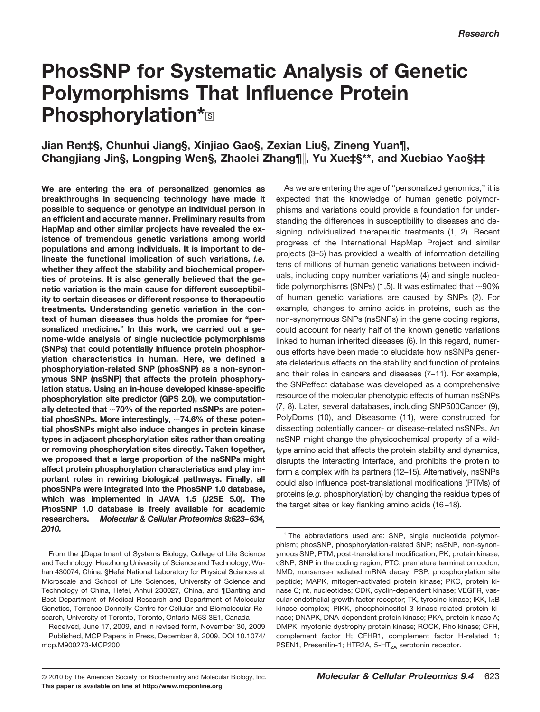# **PhosSNP for Systematic Analysis of Genetic Polymorphisms That Influence Protein Phosphorylation\***<sup>S</sup>

# **Jian Ren‡§, Chunhui Jiang§, Xinjiao Gao§, Zexian Liu§, Zineng Yuan¶, Changjiang Jin§, Longping Wen§, Zhaolei Zhang¶, Yu Xue‡§\*\*, and Xuebiao Yao§‡‡**

**We are entering the era of personalized genomics as breakthroughs in sequencing technology have made it possible to sequence or genotype an individual person in an efficient and accurate manner. Preliminary results from HapMap and other similar projects have revealed the existence of tremendous genetic variations among world populations and among individuals. It is important to delineate the functional implication of such variations,** *i.e.* **whether they affect the stability and biochemical properties of proteins. It is also generally believed that the genetic variation is the main cause for different susceptibility to certain diseases or different response to therapeutic treatments. Understanding genetic variation in the context of human diseases thus holds the promise for "personalized medicine." In this work, we carried out a genome-wide analysis of single nucleotide polymorphisms (SNPs) that could potentially influence protein phosphorylation characteristics in human. Here, we defined a phosphorylation-related SNP (phosSNP) as a non-synonymous SNP (nsSNP) that affects the protein phosphorylation status. Using an in-house developed kinase-specific phosphorylation site predictor (GPS 2.0), we computationally detected that 70% of the reported nsSNPs are potential phosSNPs. More interestingly, 74.6% of these potential phosSNPs might also induce changes in protein kinase types in adjacent phosphorylation sites rather than creating or removing phosphorylation sites directly. Taken together, we proposed that a large proportion of the nsSNPs might affect protein phosphorylation characteristics and play important roles in rewiring biological pathways. Finally, all phosSNPs were integrated into the PhosSNP 1.0 database, which was implemented in JAVA 1.5 (J2SE 5.0). The PhosSNP 1.0 database is freely available for academic researchers.** *Molecular & Cellular Proteomics 9:623–634, 2010.*

As we are entering the age of "personalized genomics," it is expected that the knowledge of human genetic polymorphisms and variations could provide a foundation for understanding the differences in susceptibility to diseases and designing individualized therapeutic treatments (1, 2). Recent progress of the International HapMap Project and similar projects (3–5) has provided a wealth of information detailing tens of millions of human genetic variations between individuals, including copy number variations (4) and single nucleotide polymorphisms (SNPs) (1,5). It was estimated that  $\sim$ 90% of human genetic variations are caused by SNPs (2). For example, changes to amino acids in proteins, such as the non-synonymous SNPs (nsSNPs) in the gene coding regions, could account for nearly half of the known genetic variations linked to human inherited diseases (6). In this regard, numerous efforts have been made to elucidate how nsSNPs generate deleterious effects on the stability and function of proteins and their roles in cancers and diseases (7–11). For example, the SNPeffect database was developed as a comprehensive resource of the molecular phenotypic effects of human nsSNPs (7, 8). Later, several databases, including SNP500Cancer (9), PolyDoms (10), and Diseasome (11), were constructed for dissecting potentially cancer- or disease-related nsSNPs. An nsSNP might change the physicochemical property of a wildtype amino acid that affects the protein stability and dynamics, disrupts the interacting interface, and prohibits the protein to form a complex with its partners (12–15). Alternatively, nsSNPs could also influence post-translational modifications (PTMs) of proteins (*e.g.* phosphorylation) by changing the residue types of the target sites or key flanking amino acids (16 –18).

From the ‡Department of Systems Biology, College of Life Science and Technology, Huazhong University of Science and Technology, Wuhan 430074, China, §Hefei National Laboratory for Physical Sciences at Microscale and School of Life Sciences, University of Science and Technology of China, Hefei, Anhui 230027, China, and ¶Banting and Best Department of Medical Research and Department of Molecular Genetics, Terrence Donnelly Centre for Cellular and Biomolecular Research, University of Toronto, Toronto, Ontario M5S 3E1, Canada

Received, June 17, 2009, and in revised form, November 30, 2009 Published, MCP Papers in Press, December 8, 2009, DOI 10.1074/ mcp.M900273-MCP200

<sup>&</sup>lt;sup>1</sup> The abbreviations used are: SNP, single nucleotide polymorphism; phosSNP, phosphorylation-related SNP; nsSNP, non-synonymous SNP; PTM, post-translational modification; PK, protein kinase; cSNP, SNP in the coding region; PTC, premature termination codon; NMD, nonsense-mediated mRNA decay; PSP, phosphorylation site peptide; MAPK, mitogen-activated protein kinase; PKC, protein kinase C; nt, nucleotides; CDK, cyclin-dependent kinase; VEGFR, vascular endothelial growth factor receptor; TK, tyrosine kinase; IKK, I<sub>K</sub>B kinase complex; PIKK, phosphoinositol 3-kinase-related protein kinase; DNAPK, DNA-dependent protein kinase; PKA, protein kinase A; DMPK, myotonic dystrophy protein kinase; ROCK, Rho kinase; CFH, complement factor H; CFHR1, complement factor H-related 1; PSEN1, Presenilin-1; HTR2A, 5-HT<sub>2A</sub> serotonin receptor.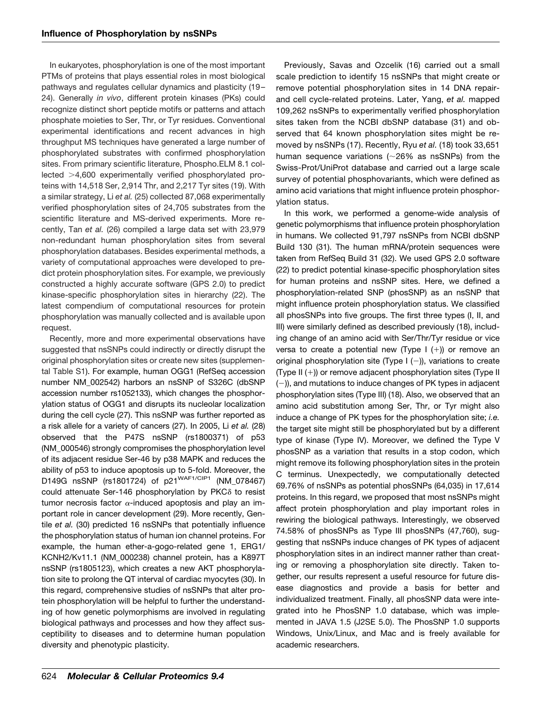In eukaryotes, phosphorylation is one of the most important PTMs of proteins that plays essential roles in most biological pathways and regulates cellular dynamics and plasticity (19 – 24). Generally *in vivo*, different protein kinases (PKs) could recognize distinct short peptide motifs or patterns and attach phosphate moieties to Ser, Thr, or Tyr residues. Conventional experimental identifications and recent advances in high throughput MS techniques have generated a large number of phosphorylated substrates with confirmed phosphorylation sites. From primary scientific literature, Phospho.ELM 8.1 collected >4,600 experimentally verified phosphorylated proteins with 14,518 Ser, 2,914 Thr, and 2,217 Tyr sites (19). With a similar strategy, Li *et al.* (25) collected 87,068 experimentally verified phosphorylation sites of 24,705 substrates from the scientific literature and MS-derived experiments. More recently, Tan *et al.* (26) compiled a large data set with 23,979 non-redundant human phosphorylation sites from several phosphorylation databases. Besides experimental methods, a variety of computational approaches were developed to predict protein phosphorylation sites. For example, we previously constructed a highly accurate software (GPS 2.0) to predict kinase-specific phosphorylation sites in hierarchy (22). The latest compendium of computational resources for protein phosphorylation was manually collected and is available upon request.

Recently, more and more experimental observations have suggested that nsSNPs could indirectly or directly disrupt the original phosphorylation sites or create new sites [\(supplemen](http://www.mcponline.org/cgi/content/full/M900273-MCP200/DC1)[tal Table S1\)](http://www.mcponline.org/cgi/content/full/M900273-MCP200/DC1). For example, human OGG1 (RefSeq accession number NM\_002542) harbors an nsSNP of S326C (dbSNP accession number rs1052133), which changes the phosphorylation status of OGG1 and disrupts its nucleolar localization during the cell cycle (27). This nsSNP was further reported as a risk allele for a variety of cancers (27). In 2005, Li *et al.* (28) observed that the P47S nsSNP (rs1800371) of p53 (NM\_000546) strongly compromises the phosphorylation level of its adjacent residue Ser-46 by p38 MAPK and reduces the ability of p53 to induce apoptosis up to 5-fold. Moreover, the D149G nsSNP (rs1801724) of p21<sup>WAF1/CIP1</sup> (NM\_078467) could attenuate Ser-146 phosphorylation by PKC $\delta$  to resist tumor necrosis factor  $\alpha$ -induced apoptosis and play an important role in cancer development (29). More recently, Gentile *et al.* (30) predicted 16 nsSNPs that potentially influence the phosphorylation status of human ion channel proteins. For example, the human ether-a-gogo-related gene 1, ERG1/ KCNH2/Kv11.1 (NM\_000238) channel protein, has a K897T nsSNP (rs1805123), which creates a new AKT phosphorylation site to prolong the QT interval of cardiac myocytes (30). In this regard, comprehensive studies of nsSNPs that alter protein phosphorylation will be helpful to further the understanding of how genetic polymorphisms are involved in regulating biological pathways and processes and how they affect susceptibility to diseases and to determine human population diversity and phenotypic plasticity.

Previously, Savas and Ozcelik (16) carried out a small scale prediction to identify 15 nsSNPs that might create or remove potential phosphorylation sites in 14 DNA repairand cell cycle-related proteins. Later, Yang, *et al.* mapped 109,262 nsSNPs to experimentally verified phosphorylation sites taken from the NCBI dbSNP database (31) and observed that 64 known phosphorylation sites might be removed by nsSNPs (17). Recently, Ryu *et al.* (18) took 33,651 human sequence variations  $(\sim 26\%$  as nsSNPs) from the Swiss-Prot/UniProt database and carried out a large scale survey of potential phosphovariants, which were defined as amino acid variations that might influence protein phosphorylation status.

In this work, we performed a genome-wide analysis of genetic polymorphisms that influence protein phosphorylation in humans. We collected 91,797 nsSNPs from NCBI dbSNP Build 130 (31). The human mRNA/protein sequences were taken from RefSeq Build 31 (32). We used GPS 2.0 software (22) to predict potential kinase-specific phosphorylation sites for human proteins and nsSNP sites. Here, we defined a phosphorylation-related SNP (phosSNP) as an nsSNP that might influence protein phosphorylation status. We classified all phosSNPs into five groups. The first three types (I, II, and III) were similarly defined as described previously (18), including change of an amino acid with Ser/Thr/Tyr residue or vice versa to create a potential new (Type I  $(+)$ ) or remove an original phosphorylation site (Type I  $(-)$ ), variations to create (Type II  $(+)$ ) or remove adjacent phosphorylation sites (Type II  $(-)$ , and mutations to induce changes of PK types in adjacent phosphorylation sites (Type III) (18). Also, we observed that an amino acid substitution among Ser, Thr, or Tyr might also induce a change of PK types for the phosphorylation site; *i.e.* the target site might still be phosphorylated but by a different type of kinase (Type IV). Moreover, we defined the Type V phosSNP as a variation that results in a stop codon, which might remove its following phosphorylation sites in the protein C terminus. Unexpectedly, we computationally detected 69.76% of nsSNPs as potential phosSNPs (64,035) in 17,614 proteins. In this regard, we proposed that most nsSNPs might affect protein phosphorylation and play important roles in rewiring the biological pathways. Interestingly, we observed 74.58% of phosSNPs as Type III phosSNPs (47,760), suggesting that nsSNPs induce changes of PK types of adjacent phosphorylation sites in an indirect manner rather than creating or removing a phosphorylation site directly. Taken together, our results represent a useful resource for future disease diagnostics and provide a basis for better and individualized treatment. Finally, all phosSNP data were integrated into he PhosSNP 1.0 database, which was implemented in JAVA 1.5 (J2SE 5.0). The PhosSNP 1.0 supports Windows, Unix/Linux, and Mac and is freely available for academic researchers.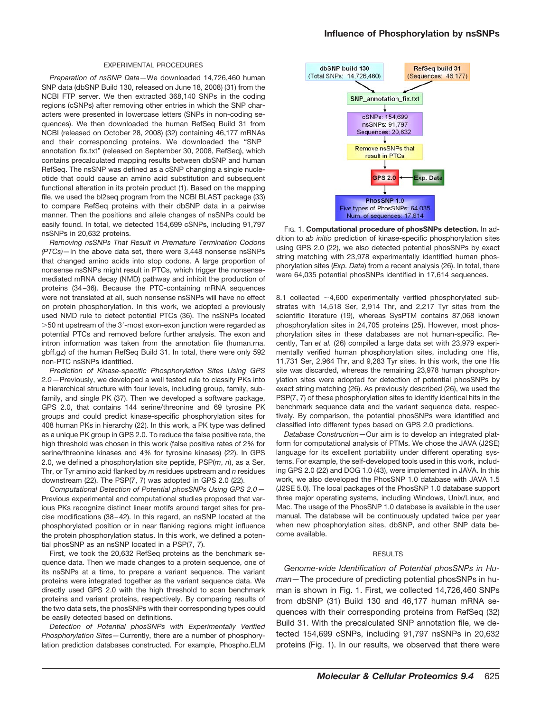#### EXPERIMENTAL PROCEDURES

*Preparation of nsSNP Data—*We downloaded 14,726,460 human SNP data (dbSNP Build 130, released on June 18, 2008) (31) from the NCBI FTP server. We then extracted 368,140 SNPs in the coding regions (cSNPs) after removing other entries in which the SNP characters were presented in lowercase letters (SNPs in non-coding sequences). We then downloaded the human RefSeq Build 31 from NCBI (released on October 28, 2008) (32) containing 46,177 mRNAs and their corresponding proteins. We downloaded the "SNP\_ annotation\_fix.txt" (released on September 30, 2008, RefSeq), which contains precalculated mapping results between dbSNP and human RefSeq. The nsSNP was defined as a cSNP changing a single nucleotide that could cause an amino acid substitution and subsequent functional alteration in its protein product (1). Based on the mapping file, we used the bl2seq program from the NCBI BLAST package (33) to compare RefSeq proteins with their dbSNP data in a pairwise manner. Then the positions and allele changes of nsSNPs could be easily found. In total, we detected 154,699 cSNPs, including 91,797 nsSNPs in 20,632 proteins.

*Removing nsSNPs That Result in Premature Termination Codons (PTCs)—*In the above data set, there were 3,448 nonsense nsSNPs that changed amino acids into stop codons. A large proportion of nonsense nsSNPs might result in PTCs, which trigger the nonsensemediated mRNA decay (NMD) pathway and inhibit the production of proteins (34 –36). Because the PTC-containing mRNA sequences were not translated at all, such nonsense nsSNPs will have no effect on protein phosphorylation. In this work, we adopted a previously used NMD rule to detect potential PTCs (36). The nsSNPs located -50 nt upstream of the 3-most exon-exon junction were regarded as potential PTCs and removed before further analysis. The exon and intron information was taken from the annotation file (human.rna. gbff.gz) of the human RefSeq Build 31. In total, there were only 592 non-PTC nsSNPs identified.

*Prediction of Kinase-specific Phosphorylation Sites Using GPS 2.0—*Previously, we developed a well tested rule to classify PKs into a hierarchical structure with four levels, including group, family, subfamily, and single PK (37). Then we developed a software package, GPS 2.0, that contains 144 serine/threonine and 69 tyrosine PK groups and could predict kinase-specific phosphorylation sites for 408 human PKs in hierarchy (22). In this work, a PK type was defined as a unique PK group in GPS 2.0. To reduce the false positive rate, the high threshold was chosen in this work (false positive rates of 2% for serine/threonine kinases and 4% for tyrosine kinases) (22). In GPS 2.0, we defined a phosphorylation site peptide, PSP(*m*, *n*), as a Ser, Thr, or Tyr amino acid flanked by *m* residues upstream and *n* residues downstream (22). The PSP(7, 7) was adopted in GPS 2.0 (22).

*Computational Detection of Potential phosSNPs Using GPS 2.0—* Previous experimental and computational studies proposed that various PKs recognize distinct linear motifs around target sites for precise modifications (38 – 42). In this regard, an nsSNP located at the phosphorylated position or in near flanking regions might influence the protein phosphorylation status. In this work, we defined a potential phosSNP as an nsSNP located in a PSP(7, 7).

First, we took the 20,632 RefSeq proteins as the benchmark sequence data. Then we made changes to a protein sequence, one of its nsSNPs at a time, to prepare a variant sequence. The variant proteins were integrated together as the variant sequence data. We directly used GPS 2.0 with the high threshold to scan benchmark proteins and variant proteins, respectively. By comparing results of the two data sets, the phosSNPs with their corresponding types could be easily detected based on definitions.

*Detection of Potential phosSNPs with Experimentally Verified Phosphorylation Sites—*Currently, there are a number of phosphorylation prediction databases constructed. For example, Phospho.ELM



FIG. 1. **Computational procedure of phosSNPs detection.** In addition to *ab initio* prediction of kinase-specific phosphorylation sites using GPS 2.0 (22), we also detected potential phosSNPs by exact string matching with 23,978 experimentally identified human phosphorylation sites (*Exp. Data*) from a recent analysis (26). In total, there were 64,035 potential phosSNPs identified in 17,614 sequences.

8.1 collected  $\sim$  4,600 experimentally verified phosphorylated substrates with 14,518 Ser, 2,914 Thr, and 2,217 Tyr sites from the scientific literature (19), whereas SysPTM contains 87,068 known phosphorylation sites in 24,705 proteins (25). However, most phosphorylation sites in these databases are not human-specific. Recently, Tan *et al.* (26) compiled a large data set with 23,979 experimentally verified human phosphorylation sites, including one His, 11,731 Ser, 2,964 Thr, and 9,283 Tyr sites. In this work, the one His site was discarded, whereas the remaining 23,978 human phosphorylation sites were adopted for detection of potential phosSNPs by exact string matching (26). As previously described (26), we used the PSP(7, 7) of these phosphorylation sites to identify identical hits in the benchmark sequence data and the variant sequence data, respectively. By comparison, the potential phosSNPs were identified and classified into different types based on GPS 2.0 predictions.

*Database Construction—*Our aim is to develop an integrated platform for computational analysis of PTMs. We chose the JAVA (J2SE) language for its excellent portability under different operating systems. For example, the self-developed tools used in this work, including GPS 2.0 (22) and DOG 1.0 (43), were implemented in JAVA. In this work, we also developed the PhosSNP 1.0 database with JAVA 1.5 (J2SE 5.0). The local packages of the PhosSNP 1.0 database support three major operating systems, including Windows, Unix/Linux, and Mac. The usage of the PhosSNP 1.0 database is available in the user manual. The database will be continuously updated twice per year when new phosphorylation sites, dbSNP, and other SNP data become available.

# **RESULTS**

*Genome-wide Identification of Potential phosSNPs in Human—*The procedure of predicting potential phosSNPs in human is shown in Fig. 1. First, we collected 14,726,460 SNPs from dbSNP (31) Build 130 and 46,177 human mRNA sequences with their corresponding proteins from RefSeq (32) Build 31. With the precalculated SNP annotation file, we detected 154,699 cSNPs, including 91,797 nsSNPs in 20,632 proteins (Fig. 1). In our results, we observed that there were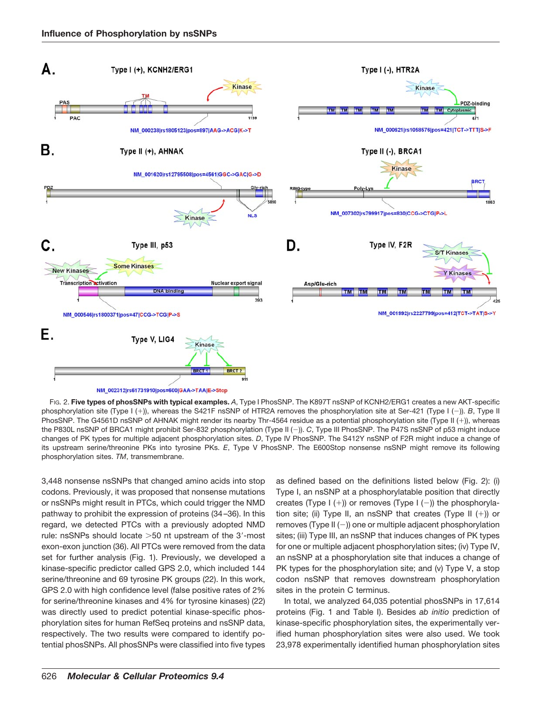



FIG. 2. **Five types of phosSNPs with typical examples.** *A*, Type I PhosSNP. The K897T nsSNP of KCNH2/ERG1 creates a new AKT-specific phosphorylation site (Type I (+)), whereas the S421F nsSNP of HTR2A removes the phosphorylation site at Ser-421 (Type I (-)). *B*, Type II PhosSNP. The G4561D nsSNP of AHNAK might render its nearby Thr-4564 residue as a potential phosphorylation site (Type II (+)), whereas the P830L nsSNP of BRCA1 might prohibit Ser-832 phosphorylation (Type II (-)). *C*, Type III PhosSNP. The P47S nsSNP of p53 might induce changes of PK types for multiple adjacent phosphorylation sites. *D*, Type IV PhosSNP. The S412Y nsSNP of F2R might induce a change of its upstream serine/threonine PKs into tyrosine PKs. *E*, Type V PhosSNP. The E600Stop nonsense nsSNP might remove its following phosphorylation sites. *TM*, transmembrane.

3,448 nonsense nsSNPs that changed amino acids into stop codons. Previously, it was proposed that nonsense mutations or nsSNPs might result in PTCs, which could trigger the NMD pathway to prohibit the expression of proteins (34 –36). In this regard, we detected PTCs with a previously adopted NMD rule: nsSNPs should locate >50 nt upstream of the 3'-most exon-exon junction (36). All PTCs were removed from the data set for further analysis (Fig. 1). Previously, we developed a kinase-specific predictor called GPS 2.0, which included 144 serine/threonine and 69 tyrosine PK groups (22). In this work, GPS 2.0 with high confidence level (false positive rates of 2% for serine/threonine kinases and 4% for tyrosine kinases) (22) was directly used to predict potential kinase-specific phosphorylation sites for human RefSeq proteins and nsSNP data, respectively. The two results were compared to identify potential phosSNPs. All phosSNPs were classified into five types as defined based on the definitions listed below (Fig. 2): (i) Type I, an nsSNP at a phosphorylatable position that directly creates (Type  $I (+)$ ) or removes (Type  $I (-)$ ) the phosphorylation site; (ii) Type II, an nsSNP that creates (Type II  $(+)$ ) or removes (Type II  $(-)$ ) one or multiple adjacent phosphorylation sites; (iii) Type III, an nsSNP that induces changes of PK types for one or multiple adjacent phosphorylation sites; (iv) Type IV, an nsSNP at a phosphorylation site that induces a change of PK types for the phosphorylation site; and (v) Type V, a stop codon nsSNP that removes downstream phosphorylation sites in the protein C terminus.

In total, we analyzed 64,035 potential phosSNPs in 17,614 proteins (Fig. 1 and Table I). Besides *ab initio* prediction of kinase-specific phosphorylation sites, the experimentally verified human phosphorylation sites were also used. We took 23,978 experimentally identified human phosphorylation sites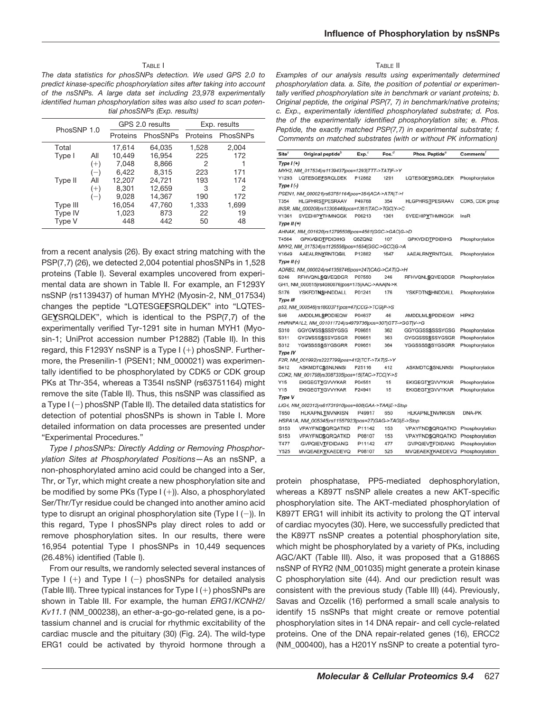#### TABLE I

*The data statistics for phosSNPs detection. We used GPS 2.0 to predict kinase-specific phosphorylation sites after taking into account of the nsSNPs. A large data set including 23,978 experimentally identified human phosphorylation sites was also used to scan potential phosSNPs (Exp. results)*

| PhosSNP 1.0 |          | GPS 2.0 results |          | Exp. results |          |
|-------------|----------|-----------------|----------|--------------|----------|
|             |          | Proteins        | PhosSNPs | Proteins     | PhosSNPs |
| Total       |          | 17,614          | 64,035   | 1,528        | 2,004    |
| Type I      | All      | 10,449          | 16,954   | 225          | 172      |
|             | $(+)$    | 7.048           | 8,866    | 2            |          |
|             | $-$      | 6.422           | 8.315    | 223          | 171      |
| Type II     | All      | 12,207          | 24,721   | 193          | 174      |
|             | $^{(+)}$ | 8.301           | 12,659   | 3            | 2        |
|             | $-$ )    | 9.028           | 14,367   | 190          | 172      |
| Type III    |          | 16,054          | 47,760   | 1,333        | 1,699    |
| Type IV     |          | 1,023           | 873      | 22           | 19       |
| Type V      |          | 448             | 442      | 50           | 48       |

from a recent analysis (26). By exact string matching with the PSP(7,7) (26), we detected 2,004 potential phosSNPs in 1,528 proteins (Table I). Several examples uncovered from experimental data are shown in Table II. For example, an F1293Y nsSNP (rs1139437) of human MYH2 (Myosin-2, NM\_017534) changes the peptide "LQTESGE**F**SRQLDEK" into "LQTES-GE**Y**SRQLDEK", which is identical to the PSP(7,7) of the experimentally verified Tyr-1291 site in human MYH1 (Myosin-1; UniProt accession number P12882) (Table II). In this regard, this F1293Y nsSNP is a Type  $I (+)$  phosSNP. Furthermore, the Presenilin-1 (PSEN1; NM\_000021) was experimentally identified to be phosphorylated by CDK5 or CDK group PKs at Thr-354, whereas a T354I nsSNP (rs63751164) might remove the site (Table II). Thus, this nsSNP was classified as a Type  $I(-)$  phosSNP (Table II). The detailed data statistics for detection of potential phosSNPs is shown in Table I. More detailed information on data processes are presented under "Experimental Procedures."

*Type I phosSNPs: Directly Adding or Removing Phosphorylation Sites at Phosphorylated Positions—*As an nsSNP, a non-phosphorylated amino acid could be changed into a Ser, Thr, or Tyr, which might create a new phosphorylation site and be modified by some PKs (Type  $I (+)$ ). Also, a phosphorylated Ser/Thr/Tyr residue could be changed into another amino acid type to disrupt an original phosphorylation site (Type  $I(-)$ ). In this regard, Type I phosSNPs play direct roles to add or remove phosphorylation sites. In our results, there were 16,954 potential Type I phosSNPs in 10,449 sequences (26.48%) identified (Table I).

From our results, we randomly selected several instances of Type I  $(+)$  and Type I  $(-)$  phosSNPs for detailed analysis (Table III). Three typical instances for  $Type I (+)$  phosSNPs are shown in Table III. For example, the human *ERG1*/*KCNH2*/ *Kv11.1* (NM\_000238), an ether-a-go-go-related gene, is a potassium channel and is crucial for rhythmic excitability of the cardiac muscle and the pituitary (30) (Fig. 2*A*). The wild-type ERG1 could be activated by thyroid hormone through a

#### TABLE II

*Examples of our analysis results using experimentally determined phosphorylation data. a. Site, the position of potential or experimentally verified phosphorylation site in benchmark or variant proteins; b. Original peptide, the original PSP(7, 7) in benchmark/native proteins; c. Exp., experimentally identified phosphorylated substrate; d. Pos. the of the experimentally identified phosphorylation site; e. Phos. Peptide, the exactly matched PSP(7,7) in experimental substrate; f. Comments on matched substrates (with or without PK information)*

| Site <sup>®</sup> | Original peptide <sup>b</sup>                           | Exp. <sup>c</sup> | Pos. $d$ | Phos. Peptide®         | Comments'       |
|-------------------|---------------------------------------------------------|-------------------|----------|------------------------|-----------------|
| Type $I(+)$       |                                                         |                   |          |                        |                 |
|                   | MYH2, NM_017534 rs1139437 pos=1293 TTT->TAT F->Y        |                   |          |                        |                 |
| Y1293             | LQTESGEFSRQLDEK                                         | P12882            | 1291     | LQTESGEYSRQLDEK        | Phosphorylation |
| $Type I (-)$      |                                                         |                   |          |                        |                 |
|                   | PSEN1, NM_000021 rs63751164 pos=354 ACA->ATA T->I       |                   |          |                        |                 |
| T354              | HLGPHRSTPESRAAV                                         | P49768            | 354      | <b>HLGPHRSTPESRAAV</b> | CDK5, CDK group |
|                   | INSR, NM_000208 rs13306449 pos=1361 TAC->TGC Y->C       |                   |          |                        |                 |
| Y1361             | <b>SYEEHIPYTHMNGGK</b>                                  | P06213            | 1361     | SYEEHIPYTHMNGGK        | InsR            |
| Type $II(+)$      |                                                         |                   |          |                        |                 |
|                   | AHNAK, NM 001620 rs12795508 pos=4561 GGC->GAC G->D      |                   |          |                        |                 |
| T4564             | <b>GPKVGIDTPDIDIHG</b>                                  | Q6ZQN2            | 107      | <b>GPKVDIDTPDIDIHG</b> | Phosphorylation |
|                   | MYH2, NM_017534 rs1126556 pos=1654 GGC->GCC G->A        |                   |          |                        |                 |
| Y1649             | <b>AAEALRNYRNTQGIL</b>                                  | P12882            | 1647     | <b>AAEALRNYRNTQAIL</b> | Phosphorylation |
| Type $II$ (-)     |                                                         |                   |          |                        |                 |
|                   | ADRB2, NM 000024 rs41358746 pos=247 CAG->CAT Q->H       |                   |          |                        |                 |
| S246              | <b>RFHVQNLSQVEQDGR</b>                                  | P07550            | 246      | <b>RFHVQNLSQVEQDGR</b> | Phosphorylation |
|                   | GH1, NM_000515 rs4080076 pos=175 AAC->AAA N->K          |                   |          |                        |                 |
| S176              | <b>YSKFDTNSHNDDALL</b>                                  | P01241            | 176      | <b>YSKFDTNSHNDDALL</b> | Phosphorylation |
| Type III          |                                                         |                   |          |                        |                 |
|                   | p53, NM_000546 rs1800371 pos=47 CCG->TCG P->S           |                   |          |                        |                 |
| S46               | <b>AMDDLMLSPDDIEQW</b>                                  | P04637            | 46       | <b>AMDDLMLSPDDIEQW</b> | HIPK2           |
|                   | HNRNPA1L2, NM_001011724 rs4979736 pos=307 GTT->GGT V->G |                   |          |                        |                 |
| S310              | GGYGVSSSSSSSYGSG                                        | P09651            | 362      | GGYGGSSSSSSYGSG        | Phosphorylation |
| S311              | GYGVSSSSSSYGSGR                                         | P09651            | 363      | GYGGSSSSSSYGSGR        | Phosphorylation |
| S312              | <b>YGVSSSSSSYGSGRR</b>                                  | P09651            | 364      | <b>YGGSSSSSSYGSGRR</b> | Phosphorylation |
| Type IV           |                                                         |                   |          |                        |                 |
|                   | F2R, NM_001992 rs2227799 pos=412 TCT->TAT S->Y          |                   |          |                        |                 |
| S412              | <b>ASKMDTCSSNLNNSI</b>                                  | P25116            | 412      | <b>ASKMDTCSSNLNNSI</b> | Phosphorylation |
|                   | CDK2, NM 001798 rs3087335 pos=15 TAC->TCC Y->S          |                   |          |                        |                 |
| Y15               | <b>EKIGEGTYGVVYKAR</b>                                  | P04551            | 15       | <b>EKIGEGTYGVVYKAR</b> | Phosphorylation |
| Y15               | <b>EKIGEGTYGVVYKAR</b>                                  | P24941            | 15       | <b>EKIGEGTYGVVYKAR</b> | Phosphorylation |
| Type V            |                                                         |                   |          |                        |                 |
|                   | LIG4, NM_002312 rs61731910 pos=600 GAA->TAA E->Stop     |                   |          |                        |                 |
| T650              | <b>HLKAPNLTNVNKISN</b>                                  | P49917            | 650      | <b>HLKAPNLTNVNKISN</b> | DNA-PK          |
|                   | HSPA1A, NM_005345 rs11557923 pos=27 GAG->TAG E->Stop    |                   |          |                        |                 |
| S153              | <b>VPAYFNDSQRQATKD</b>                                  | P11142            | 153      | VPAYFNDSQRQATKD        | Phosphorylation |
| S <sub>153</sub>  | VPAYFNDSQRQATKD                                         | P08107            | 153      | VPAYFNDSQRQATKD        | Phosphorylation |
| T477              | <b>GVPQIEVTFDIDANG</b>                                  | P11142            | 477      | <b>GVPQIEVTFDIDANG</b> | Phosphorylation |
| Y525              | MVQEAEKYKAEDEVQ                                         | P08107            | 525      | MVQEAEKYKAEDEVQ        | Phosphorylation |

protein phosphatase, PP5-mediated dephosphorylation, whereas a K897T nsSNP allele creates a new AKT-specific phosphorylation site. The AKT-mediated phosphorylation of K897T ERG1 will inhibit its activity to prolong the QT interval of cardiac myocytes (30). Here, we successfully predicted that the K897T nsSNP creates a potential phosphorylation site, which might be phosphorylated by a variety of PKs, including AGC/AKT (Table III). Also, it was proposed that a G1886S nsSNP of RYR2 (NM\_001035) might generate a protein kinase C phosphorylation site (44). And our prediction result was consistent with the previous study (Table III) (44). Previously, Savas and Ozcelik (16) performed a small scale analysis to identify 15 nsSNPs that might create or remove potential phosphorylation sites in 14 DNA repair- and cell cycle-related proteins. One of the DNA repair-related genes (16), ERCC2 (NM\_000400), has a H201Y nsSNP to create a potential tyro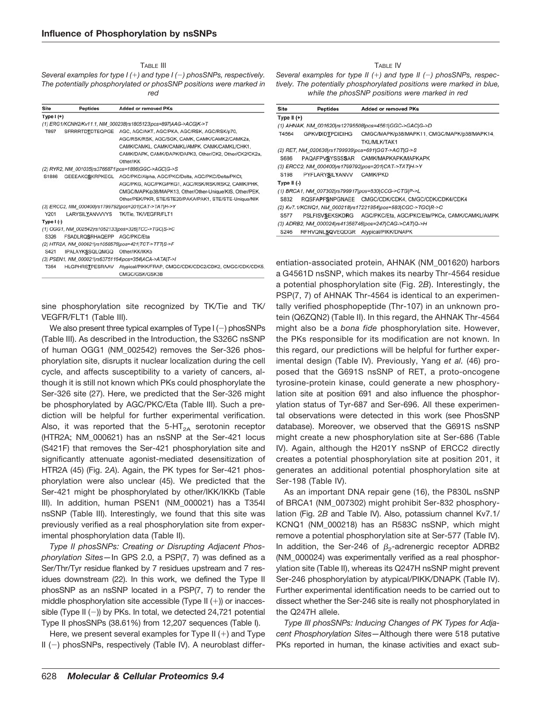TABLE III

*Several examples for type I () and type I () phosSNPs, respectively. The potentially phosphorylated or phosSNP positions were marked in red*

| <b>Site</b> | <b>Peptides</b>             | <b>Added or removed PKs</b>                                       |
|-------------|-----------------------------|-------------------------------------------------------------------|
| Type $I(+)$ |                             |                                                                   |
|             |                             | (1) ERG1/KCNH2/Kv11.1, NM 000238 rs1805123 pos=897 AAG->ACG K->T  |
| T897        |                             | SFRRRTDTDTEQPGE AGC, AGC/AKT, AGC/PKA, AGC/RSK, AGC/RSK/p70,      |
|             |                             | AGC/RSK/RSK, AGC/SGK, CAMK, CAMK/CAMK2/CAMK2a,                    |
|             |                             | CAMK/CAMKL, CAMK/CAMKL/AMPK, CAMK/CAMKL/CHK1,                     |
|             |                             | CAMK/DAPK, CAMK/DAPK/DAPK3, Other/CK2, Other/CK2/CK2a,            |
|             |                             | Other/IKK                                                         |
|             |                             | (2) RYR2, NM_001035 rs3766871 pos=1886 GGC->AGC G->S              |
| S1886       |                             | GEEEAKGSKRPKEGL AGC/PKC/Alpha, AGC/PKC/Delta, AGC/PKC/Delta/PKCt, |
|             |                             | AGC/PKG, AGC/PKG/PKG1, AGC/RSK/RSK/RSK2, CAMK/PHK,                |
|             |                             | CMGC/MAPK/p38/MAPK13, Other/Other-Unique/KIS, Other/PEK,          |
|             |                             | Other/PEK/PKR, STE/STE20/PAKA/PAK1, STE/STE-Unique/NIK            |
|             |                             | (3) ERCC2, NM_000400 rs1799792 pos=201 CAT->TAT H->Y              |
| Y201        | LARYSILYANVVVYS             | TK/Tie, TK/VEGFR/FLT1                                             |
| Type $I(-)$ |                             |                                                                   |
|             |                             | (1) OGG1, NM_002542 rs1052133 pos=326 TCC->TGC S->C               |
| S326        | FSADLRQSRHAQEPP AGC/PKC/Eta |                                                                   |
|             |                             | (2) HTR2A, NM 000621 rs1058576 pos=421 TCT->TTT\S->F              |
| S421        | IPALAYKSSQLQMGQ             | Other/IKK/IKKb                                                    |
|             |                             | (3) PSEN1, NM 000021 rs63751164 pos=354 ACA->ATA T->I             |
| T354        | HLGPHRSTPESRAAV             | Atypical/PIKK/FRAP, CMGC/CDK/CDC2/CDK2, CMGC/CDK/CDK5             |
|             |                             | CMGC/GSK/GSK3B                                                    |

sine phosphorylation site recognized by TK/Tie and TK/ VEGFR/FLT1 (Table III).

We also present three typical examples of Type  $I(-)$  phosSNPs (Table III). As described in the Introduction, the S326C nsSNP of human OGG1 (NM\_002542) removes the Ser-326 phosphorylation site, disrupts it nuclear localization during the cell cycle, and affects susceptibility to a variety of cancers, although it is still not known which PKs could phosphorylate the Ser-326 site (27). Here, we predicted that the Ser-326 might be phosphorylated by AGC/PKC/Eta (Table III). Such a prediction will be helpful for further experimental verification. Also, it was reported that the 5-HT<sub>2A</sub> serotonin receptor (HTR2A; NM\_000621) has an nsSNP at the Ser-421 locus (S421F) that removes the Ser-421 phosphorylation site and significantly attenuate agonist-mediated desensitization of HTR2A (45) (Fig. 2*A*). Again, the PK types for Ser-421 phosphorylation were also unclear (45). We predicted that the Ser-421 might be phosphorylated by other/IKK/IKKb (Table III). In addition, human PSEN1 (NM\_000021) has a T354I nsSNP (Table III). Interestingly, we found that this site was previously verified as a real phosphorylation site from experimental phosphorylation data (Table II).

*Type II phosSNPs: Creating or Disrupting Adjacent Phosphorylation Sites—*In GPS 2.0, a PSP(7, 7) was defined as a Ser/Thr/Tyr residue flanked by 7 residues upstream and 7 residues downstream (22). In this work, we defined the Type II phosSNP as an nsSNP located in a PSP(7, 7) to render the middle phosphorylation site accessible (Type II  $(+)$ ) or inaccessible (Type II  $(-)$ ) by PKs. In total, we detected 24,721 potential Type II phosSNPs (38.61%) from 12,207 sequences (Table I).

Here, we present several examples for Type II  $(+)$  and Type  $II$  (-) phosSNPs, respectively (Table IV). A neuroblast differTABLE IV

*Several examples for type II () and type II () phosSNPs, respectively. The potentially phosphorylated positions were marked in blue, while the phosSNP positions were marked in red*

| <b>Site</b>      | <b>Peptides</b>                                    | <b>Added or removed PKs</b>                                    |
|------------------|----------------------------------------------------|----------------------------------------------------------------|
| Type II $(+)$    |                                                    |                                                                |
|                  |                                                    | (1) AHNAK, NM 001620 rs12795508 pos=4561 GGC->GAC G->D         |
| T4564            | <b>GPKVDIDTPDIDIHG</b>                             | CMGC/MAPK/p38/MAPK11, CMGC/MAPK/p38/MAPK14,                    |
|                  |                                                    | TKL/MLK/TAK1                                                   |
|                  | (2) RET, NM 020630 rs1799939 pos=691 GGT->AGT G->S |                                                                |
| S686             | PAQAFPVSYSSSSAR                                    | CAMK/MAPKAPK/MAPKAPK                                           |
|                  |                                                    | (3) ERCC2, NM_000400 rs1799792 pos=201 CAT->TAT H->Y           |
| S <sub>198</sub> | PYFLARYSILYANVV                                    | CAMK/PKD                                                       |
| Type II $(-)$    |                                                    |                                                                |
|                  |                                                    | (1) BRCA1, NM 007302 rs799917 pos=830 CCG->CTG P->L            |
| S832             |                                                    | RQSFAPFSNPGNAEE CMGC/CDK/CDK4, CMGC/CDK/CDK4/CDK4              |
|                  |                                                    | (2) Kv7.1/KCNQ1, NM 000218 rs17221854 pos=583 CGC->TGC R->C    |
| S577             |                                                    | PSLFISVSEKSKDRG AGC/PKC/Eta, AGC/PKC/Eta/PKCe, CAMK/CAMKL/AMPK |
|                  |                                                    | (3) ADRB2, NM 000024 rs41358746 pos=247 CAG->CAT Q->H          |
| S246             | RFHVQNLSQVEQDGR Atypical/PIKK/DNAPK                |                                                                |

entiation-associated protein, AHNAK (NM\_001620) harbors a G4561D nsSNP, which makes its nearby Thr-4564 residue a potential phosphorylation site (Fig. 2*B*). Interestingly, the PSP(7, 7) of AHNAK Thr-4564 is identical to an experimentally verified phosphopeptide (Thr-107) in an unknown protein (Q6ZQN2) (Table II). In this regard, the AHNAK Thr-4564 might also be a *bona fide* phosphorylation site. However, the PKs responsible for its modification are not known. In this regard, our predictions will be helpful for further experimental design (Table IV). Previously, Yang *et al.* (46) proposed that the G691S nsSNP of RET, a proto-oncogene tyrosine-protein kinase, could generate a new phosphorylation site at position 691 and also influence the phosphorylation status of Tyr-687 and Ser-696. All these experimental observations were detected in this work (see PhosSNP database). Moreover, we observed that the G691S nsSNP might create a new phosphorylation site at Ser-686 (Table IV). Again, although the H201Y nsSNP of ERCC2 directly creates a potential phosphorylation site at position 201, it generates an additional potential phosphorylation site at Ser-198 (Table IV).

As an important DNA repair gene (16), the P830L nsSNP of BRCA1 (NM\_007302) might prohibit Ser-832 phosphorylation (Fig. 2*B* and Table IV). Also, potassium channel Kv7.1/ KCNQ1 (NM\_000218) has an R583C nsSNP, which might remove a potential phosphorylation site at Ser-577 (Table IV). In addition, the Ser-246 of  $\beta_2$ -adrenergic receptor ADRB2 (NM\_000024) was experimentally verified as a real phosphorylation site (Table II), whereas its Q247H nsSNP might prevent Ser-246 phosphorylation by atypical/PIKK/DNAPK (Table IV). Further experimental identification needs to be carried out to dissect whether the Ser-246 site is really not phosphorylated in the Q247H allele.

*Type III phosSNPs: Inducing Changes of PK Types for Adjacent Phosphorylation Sites—*Although there were 518 putative PKs reported in human, the kinase activities and exact sub-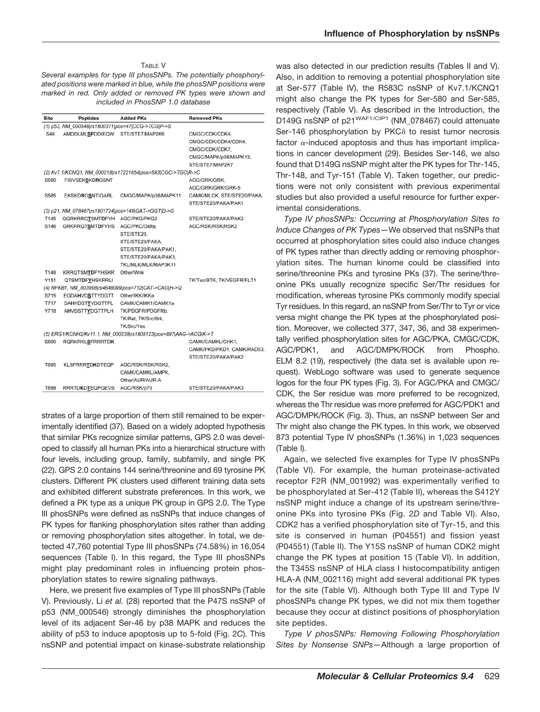# TABLE V

*Several examples for type III phosSNPs. The potentially phosphorylated positions were marked in blue, while the phosSNP positions were marked in red. Only added or removed PK types were shown and included in PhosSNP 1.0 database*

| Site             | <b>Peptides</b>                                    | <b>Added PKs</b>                                                 | <b>Removed PKs</b>         |
|------------------|----------------------------------------------------|------------------------------------------------------------------|----------------------------|
|                  | (1) p53, NM 000546 rs1800371 pos=47 CCG->TCG P->S  |                                                                  |                            |
| S46              | <b>AMDDLMLSPDDIEQW</b>                             | STE/STE7/MAP2K6                                                  | CMGC/CDK/CDK4,             |
|                  |                                                    |                                                                  | CMGC/CDK/CDK4/CDK4.        |
|                  |                                                    |                                                                  | CMGC/CDK/CDK7.             |
|                  |                                                    |                                                                  | CMGC/MAPK/p38/MAPK13,      |
|                  |                                                    |                                                                  | STE/STE7/MAP2K7            |
|                  |                                                    | (2) Kv7.1/KCNQ1, NM_000218 rs17221854 pos=583 CGC->TGC R->C      |                            |
| S580             | <b>FISVSEKSKDRGSNT</b>                             |                                                                  | AGC/GRK/GRK.               |
|                  |                                                    |                                                                  | AGC/GRK/GRK/GRK-5          |
| S585             | <b>EKSKDRGSNTIGARL</b>                             | CMGC/MAPK/p38/MAPK11                                             | CAMK/MLCK, STE/STE20/PAKA, |
|                  |                                                    |                                                                  | STE/STE20/PAKA/PAK1        |
|                  | (3) p21, NM 078467 rs1801724 pos=149 GAT->GGT D->G |                                                                  |                            |
| T145             | QGRKRRQTSMTDFYH                                    | AGC/PKG/PKG2                                                     | STE/STE20/PAKA/PAK2        |
| S <sub>146</sub> | <b>GRKRRQTSMTDFYHS</b>                             | AGC/PKC/Delta,                                                   | AGC/RSK/RSK/RSK2           |
|                  |                                                    | STE/STE20.                                                       |                            |
|                  |                                                    | STE/STE20/PAKA.                                                  |                            |
|                  |                                                    | STE/STE20/PAKA/PAK1,                                             |                            |
|                  |                                                    | STE/STE20/PAKA/PAK3.                                             |                            |
|                  |                                                    | TKL/MLK/MLK/MAP3K11                                              |                            |
| T148             | <b>KRRQTSMTDFYHSKR</b>                             | Other/Wnk                                                        |                            |
| Y151             | <b>QTSMTDFYHSKRRLI</b>                             |                                                                  | TK/Tec/BTK, TK/VEGFR/FLT1  |
|                  |                                                    | (4) NFKB1, NM 003998 rs4648099 pos=712 CAT->CAG H->Q             |                            |
| S715             | <b>EGDAHVDSTTYDGTT</b>                             | Other/IKK/IKKa                                                   |                            |
| T717             | DAHVDSTTYDGTTPL                                    | CAMK/CAMK1/CAMK1a                                                |                            |
| Y718             | <b>AHVDSTTYDGTTPLH</b>                             | TK/PDGFR/PDGFRb.                                                 |                            |
|                  |                                                    | TK/Ret, TK/Src/Brk,                                              |                            |
|                  |                                                    | <b>TK/Src/Yes</b>                                                |                            |
|                  |                                                    | (5) ERG1/KCNH2/Kv11.1, NM 000238 rs1805123 pos=897 AAG->ACG K->T |                            |
| S890             | <b>RQRKRKLSFRRRTDK</b>                             |                                                                  | CAMK/CAMKL/CHK1,           |
|                  |                                                    |                                                                  | CAMK/PKD/PKD1, CAMK/RAD53, |
|                  |                                                    |                                                                  | STE/STE20/PAKA/PAK2        |
| T895             | <b>KLSFRRRTDKDTEQP</b>                             | AGC/RSK/RSK/RSK2.                                                |                            |
|                  |                                                    | CAMK/CAMKL/AMPK.                                                 |                            |
|                  |                                                    | Other/AUR/AUR-A                                                  |                            |
| T899             | <b>RRRTDKDTEQPGEVS</b>                             | AGC/RSK/p70                                                      | STE/STE20/PAKA/PAK3        |

strates of a large proportion of them still remained to be experimentally identified (37). Based on a widely adopted hypothesis that similar PKs recognize similar patterns, GPS 2.0 was developed to classify all human PKs into a hierarchical structure with four levels, including group, family, subfamily, and single PK (22). GPS 2.0 contains 144 serine/threonine and 69 tyrosine PK clusters. Different PK clusters used different training data sets and exhibited different substrate preferences. In this work, we defined a PK type as a unique PK group in GPS 2.0. The Type III phosSNPs were defined as nsSNPs that induce changes of PK types for flanking phosphorylation sites rather than adding or removing phosphorylation sites altogether. In total, we detected 47,760 potential Type III phosSNPs (74.58%) in 16,054 sequences (Table I). In this regard, the Type III phosSNPs might play predominant roles in influencing protein phosphorylation states to rewire signaling pathways.

Here, we present five examples of Type III phosSNPs (Table V). Previously, Li *et al.* (28) reported that the P47S nsSNP of p53 (NM\_000546) strongly diminishes the phosphorylation level of its adjacent Ser-46 by p38 MAPK and reduces the ability of p53 to induce apoptosis up to 5-fold (Fig. 2*C*). This nsSNP and potential impact on kinase-substrate relationship was also detected in our prediction results (Tables II and V). Also, in addition to removing a potential phosphorylation site at Ser-577 (Table IV), the R583C nsSNP of Kv7.1/KCNQ1 might also change the PK types for Ser-580 and Ser-585, respectively (Table V). As described in the Introduction, the D149G nsSNP of p21<sup>WAF1/CIP1</sup> (NM\_078467) could attenuate Ser-146 phosphorylation by PKC $\delta$  to resist tumor necrosis factor  $\alpha$ -induced apoptosis and thus has important implications in cancer development (29). Besides Ser-146, we also found that D149G nsSNP might alter the PK types for Thr-145, Thr-148, and Tyr-151 (Table V). Taken together, our predictions were not only consistent with previous experimental studies but also provided a useful resource for further experimental considerations.

*Type IV phosSNPs: Occurring at Phosphorylation Sites to Induce Changes of PK Types—*We observed that nsSNPs that occurred at phosphorylation sites could also induce changes of PK types rather than directly adding or removing phosphorylation sites. The human kinome could be classified into serine/threonine PKs and tyrosine PKs (37). The serine/threonine PKs usually recognize specific Ser/Thr residues for modification, whereas tyrosine PKs commonly modify special Tyr residues. In this regard, an nsSNP from Ser/Thr to Tyr or vice versa might change the PK types at the phosphorylated position. Moreover, we collected 377, 347, 36, and 38 experimentally verified phosphorylation sites for AGC/PKA, CMGC/CDK, AGC/PDK1, and AGC/DMPK/ROCK from Phospho. ELM 8.2 (19), respectively (the data set is available upon request). WebLogo software was used to generate sequence logos for the four PK types (Fig. 3). For AGC/PKA and CMGC/ CDK, the Ser residue was more preferred to be recognized, whereas the Thr residue was more preferred for AGC/PDK1 and AGC/DMPK/ROCK (Fig. 3). Thus, an nsSNP between Ser and Thr might also change the PK types. In this work, we observed 873 potential Type IV phosSNPs (1.36%) in 1,023 sequences (Table I).

Again, we selected five examples for Type IV phosSNPs (Table VI). For example, the human proteinase-activated receptor F2R (NM\_001992) was experimentally verified to be phosphorylated at Ser-412 (Table II), whereas the S412Y nsSNP might induce a change of its upstream serine/threonine PKs into tyrosine PKs (Fig. 2*D* and Table VI). Also, CDK2 has a verified phosphorylation site of Tyr-15, and this site is conserved in human (P04551) and fission yeast (P04551) (Table II). The Y15S nsSNP of human CDK2 might change the PK types at position 15 (Table VI). In addition, the T345S nsSNP of HLA class I histocompatibility antigen HLA-A (NM\_002116) might add several additional PK types for the site (Table VI). Although both Type III and Type IV phosSNPs change PK types, we did not mix them together because they occur at distinct positions of phosphorylation site peptides.

*Type V phosSNPs: Removing Following Phosphorylation Sites by Nonsense SNPs—*Although a large proportion of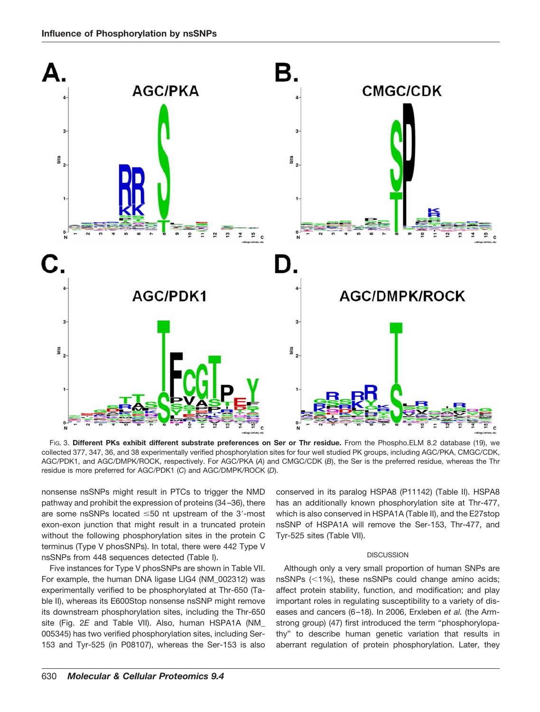

FIG. 3. **Different PKs exhibit different substrate preferences on Ser or Thr residue.** From the Phospho.ELM 8.2 database (19), we collected 377, 347, 36, and 38 experimentally verified phosphorylation sites for four well studied PK groups, including AGC/PKA, CMGC/CDK, AGC/PDK1, and AGC/DMPK/ROCK, respectively. For AGC/PKA (*A*) and CMGC/CDK (*B*), the Ser is the preferred residue, whereas the Thr residue is more preferred for AGC/PDK1 (*C*) and AGC/DMPK/ROCK (*D*).

nonsense nsSNPs might result in PTCs to trigger the NMD pathway and prohibit the expression of proteins (34 –36), there are some nsSNPs located  $\leq 50$  nt upstream of the 3'-most exon-exon junction that might result in a truncated protein without the following phosphorylation sites in the protein C terminus (Type V phosSNPs). In total, there were 442 Type V nsSNPs from 448 sequences detected (Table I).

Five instances for Type V phosSNPs are shown in Table VII. For example, the human DNA ligase LIG4 (NM\_002312) was experimentally verified to be phosphorylated at Thr-650 (Table II), whereas its E600Stop nonsense nsSNP might remove its downstream phosphorylation sites, including the Thr-650 site (Fig. 2*E* and Table VII). Also, human HSPA1A (NM\_ 005345) has two verified phosphorylation sites, including Ser-153 and Tyr-525 (in P08107), whereas the Ser-153 is also conserved in its paralog HSPA8 (P11142) (Table II). HSPA8 has an additionally known phosphorylation site at Thr-477, which is also conserved in HSPA1A (Table II), and the E27stop nsSNP of HSPA1A will remove the Ser-153, Thr-477, and Tyr-525 sites (Table VII).

# **DISCUSSION**

Although only a very small proportion of human SNPs are nsSNPs  $(<1%)$ , these nsSNPs could change amino acids; affect protein stability, function, and modification; and play important roles in regulating susceptibility to a variety of diseases and cancers (6 –18). In 2006, Erxleben *et al.* (the Armstrong group) (47) first introduced the term "phosphorylopathy" to describe human genetic variation that results in aberrant regulation of protein phosphorylation. Later, they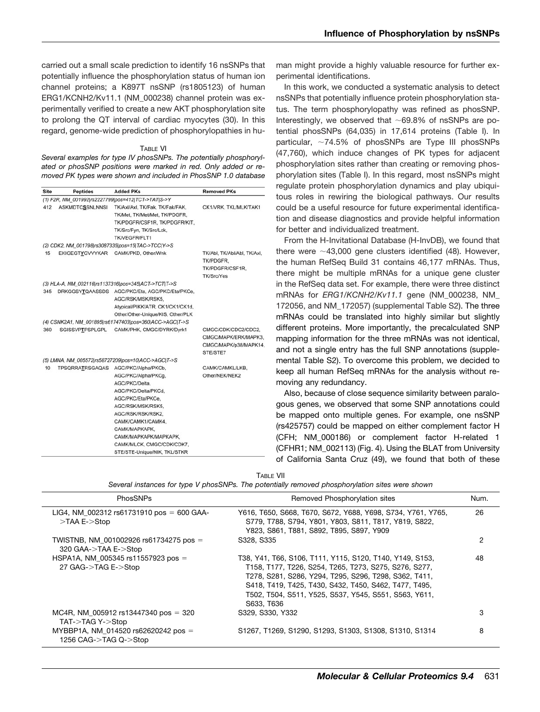carried out a small scale prediction to identify 16 nsSNPs that potentially influence the phosphorylation status of human ion channel proteins; a K897T nsSNP (rs1805123) of human ERG1/KCNH2/Kv11.1 (NM\_000238) channel protein was experimentally verified to create a new AKT phosphorylation site to prolong the QT interval of cardiac myocytes (30). In this regard, genome-wide prediction of phosphorylopathies in hu-

#### TABLE VI

*Several examples for type IV phosSNPs. The potentially phosphorylated or phosSNP positions were marked in red. Only added or removed PK types were shown and included in PhosSNP 1.0 database*

| <b>Site</b> | <b>Peptides</b>        | <b>Added PKs</b>                                                                                                                                                                                                  | <b>Removed PKs</b>                                                               |
|-------------|------------------------|-------------------------------------------------------------------------------------------------------------------------------------------------------------------------------------------------------------------|----------------------------------------------------------------------------------|
|             |                        | (1) F2R, NM 001992 rs2227799 pos=412 TCT->TAT S->Y                                                                                                                                                                |                                                                                  |
| 412         | <b>ASKMDTCSSNLNNSI</b> | TK/Axl/Axl, TK/Fak, TK/Fak/FAK,<br>TK/Met, TK/Met/Met, TK/PDGFR,<br>TK/PDGFR/CSF1R, TK/PDGFR/KIT,<br>TK/Src/Fyn, TK/Src/Lck,<br>TK/VEGFR/FLT1                                                                     | CK1/VRK, TKL/MLK/TAK1                                                            |
|             |                        | (2) CDK2, NM_001798 rs3087335 pos=15 TAC->TCC Y->S                                                                                                                                                                |                                                                                  |
| 15          | <b>EKIGEGTYGVVYKAR</b> | CAMK/PKD, Other/Wnk                                                                                                                                                                                               | TK/Abl, TK/Abl/Abl, TK/Axl,<br>TK/PDGFR,<br>TK/PDGFR/CSF1R.<br><b>TK/Src/Yes</b> |
|             |                        | (3) HLA-A, NM 002116 rs1137316 pos=345 ACT->TCT T->S                                                                                                                                                              |                                                                                  |
| 345         |                        | DRKGGSYTQAASSDS AGC/PKC/Eta, AGC/PKC/Eta/PKCe,<br>AGC/RSK/MSK/RSK5,<br>Atypical/PIKK/ATR, CK1/CK1/CK1d,<br>Other/Other-Unique/KIS, Other/PLK                                                                      |                                                                                  |
|             |                        | (4) CSNK2A1, NM_001895 rs61747403 pos=360 ACC->AGC T->S                                                                                                                                                           |                                                                                  |
| 360         | SGISSVPTPSPLGPL        | CAMK/PHK, CMGC/DYRK/Dyrk1                                                                                                                                                                                         | CMGC/CDK/CDC2/CDC2,<br>CMGC/MAPK/ERK/MAPK3,<br>CMGC/MAPK/p38/MAPK14,<br>STE/STE7 |
|             |                        | (5) LMNA, NM_005572 rs58727209 pos=10 ACC->AGC T->S                                                                                                                                                               |                                                                                  |
| 10          | TPSQRRATRSGAQAS        | AGC/PKC/Alpha/PKCb,<br>AGC/PKC/Alpha/PKCg,<br>AGC/PKC/Delta,<br>AGC/PKC/Delta/PKCd.<br>AGC/PKC/Eta/PKCe,<br>AGC/RSK/MSK/RSK5,<br>AGC/RSK/RSK/RSK2.<br>CAMK/CAMK1/CAMK4.<br>CAMK/MAPKAPK,<br>CAMK/MAPKAPK/MAPKAPK. | CAMK/CAMKL/LKB.<br>Other/NEK/NEK2                                                |
|             |                        | CAMK/MLCK, CMGC/CDK/CDK7,<br>STE/STE-Unique/NIK, TKL/STKR                                                                                                                                                         |                                                                                  |

man might provide a highly valuable resource for further experimental identifications.

In this work, we conducted a systematic analysis to detect nsSNPs that potentially influence protein phosphorylation status. The term phosphorylopathy was refined as phosSNP. Interestingly, we observed that  $\sim 69.8\%$  of nsSNPs are potential phosSNPs (64,035) in 17,614 proteins (Table I). In particular,  $\sim$ 74.5% of phosSNPs are Type III phosSNPs (47,760), which induce changes of PK types for adjacent phosphorylation sites rather than creating or removing phosphorylation sites (Table I). In this regard, most nsSNPs might regulate protein phosphorylation dynamics and play ubiquitous roles in rewiring the biological pathways. Our results could be a useful resource for future experimental identification and disease diagnostics and provide helpful information for better and individualized treatment.

From the H-Invitational Database (H-InvDB), we found that there were  $\sim$  43,000 gene clusters identified (48). However, the human RefSeq Build 31 contains 46,177 mRNAs. Thus, there might be multiple mRNAs for a unique gene cluster in the RefSeq data set. For example, there were three distinct mRNAs for *ERG1*/*KCNH2*/*Kv11.1* gene (NM\_000238, NM\_ 172056, and NM\_172057) [\(supplemental Table S2\)](http://www.mcponline.org/cgi/content/full/M900273-MCP200/DC1). The three mRNAs could be translated into highly similar but slightly different proteins. More importantly, the precalculated SNP mapping information for the three mRNAs was not identical, and not a single entry has the full SNP annotations [\(supple](http://www.mcponline.org/cgi/content/full/M900273-MCP200/DC1)[mental Table S2\)](http://www.mcponline.org/cgi/content/full/M900273-MCP200/DC1). To overcome this problem, we decided to keep all human RefSeq mRNAs for the analysis without removing any redundancy.

Also, because of close sequence similarity between paralogous genes, we observed that some SNP annotations could be mapped onto multiple genes. For example, one nsSNP (rs425757) could be mapped on either complement factor H (CFH; NM\_000186) or complement factor H-related 1 (CFHR1; NM\_002113) (Fig. 4). Using the BLAT from University of California Santa Cruz (49), we found that both of these

| ARI F | VII |
|-------|-----|
|       |     |

| PhosSNPs                                                           | Removed Phosphorylation sites                                                                                                                                                                                                                                                                              | Num. |
|--------------------------------------------------------------------|------------------------------------------------------------------------------------------------------------------------------------------------------------------------------------------------------------------------------------------------------------------------------------------------------------|------|
| LIG4, NM_002312 $rs61731910$ pos = 600 GAA-<br>$>$ TAA E- $>$ Stop | Y616, T650, S668, T670, S672, Y688, Y698, S734, Y761, Y765,<br>S779, T788, S794, Y801, Y803, S811, T817, Y819, S822,<br>Y823, S861, T881, S892, T895, S897, Y909                                                                                                                                           | 26   |
| TWISTNB, NM_001002926 $rs61734275$ pos =<br>320 GAA->TAA E->Stop   | S328, S335                                                                                                                                                                                                                                                                                                 | 2    |
| HSPA1A, NM 005345 rs11557923 pos =<br>27 GAG->TAG E->Stop          | T38, Y41, T66, S106, T111, Y115, S120, T140, Y149, S153,<br>T158, T177, T226, S254, T265, T273, S275, S276, S277,<br>T278, S281, S286, Y294, T295, S296, T298, S362, T411,<br>S418, T419, T425, T430, S432, T450, S462, T477, T495,<br>T502, T504, S511, Y525, S537, Y545, S551, S563, Y611,<br>S633, T636 | 48   |
| MC4R, NM 005912 rs13447340 pos = 320<br>TAT->TAG Y->Stop           | S329, S330, Y332                                                                                                                                                                                                                                                                                           | 3    |
| MYBBP1A, NM 014520 rs62620242 pos =<br>1256 CAG->TAG Q->Stop       | S1267, T1269, S1290, S1293, S1303, S1308, S1310, S1314                                                                                                                                                                                                                                                     | 8    |

| IABLE VII |  |                                                                                                 |  |
|-----------|--|-------------------------------------------------------------------------------------------------|--|
|           |  | Several instances for type V phosSNPs. The potentially removed phosphorylation sites were shown |  |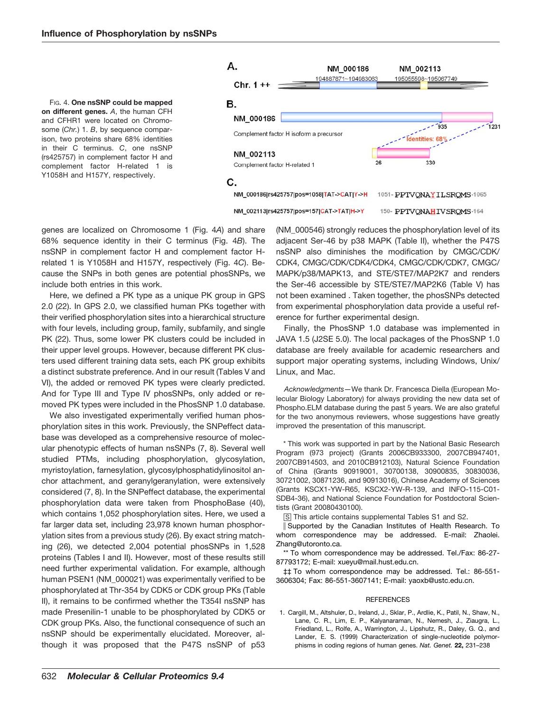FIG. 4. **One nsSNP could be mapped on different genes.** *A*, the human CFH and CFHR1 were located on Chromosome (*Chr.*) 1. *B*, by sequence comparison, two proteins share 68% identities in their C terminus. *C*, one nsSNP (rs425757) in complement factor H and complement factor H-related 1 is Y1058H and H157Y, respectively.



genes are localized on Chromosome 1 (Fig. 4*A*) and share 68% sequence identity in their C terminus (Fig. 4*B*). The nsSNP in complement factor H and complement factor Hrelated 1 is Y1058H and H157Y, respectively (Fig. 4*C*). Because the SNPs in both genes are potential phosSNPs, we include both entries in this work.

Here, we defined a PK type as a unique PK group in GPS 2.0 (22). In GPS 2.0, we classified human PKs together with their verified phosphorylation sites into a hierarchical structure with four levels, including group, family, subfamily, and single PK (22). Thus, some lower PK clusters could be included in their upper level groups. However, because different PK clusters used different training data sets, each PK group exhibits a distinct substrate preference. And in our result (Tables V and VI), the added or removed PK types were clearly predicted. And for Type III and Type IV phosSNPs, only added or removed PK types were included in the PhosSNP 1.0 database.

We also investigated experimentally verified human phosphorylation sites in this work. Previously, the SNPeffect database was developed as a comprehensive resource of molecular phenotypic effects of human nsSNPs (7, 8). Several well studied PTMs, including phosphorylation, glycosylation, myristoylation, farnesylation, glycosylphosphatidylinositol anchor attachment, and geranylgeranylation, were extensively considered (7, 8). In the SNPeffect database, the experimental phosphorylation data were taken from PhosphoBase (40), which contains 1,052 phosphorylation sites. Here, we used a far larger data set, including 23,978 known human phosphorylation sites from a previous study (26). By exact string matching (26), we detected 2,004 potential phosSNPs in 1,528 proteins (Tables I and II). However, most of these results still need further experimental validation. For example, although human PSEN1 (NM\_000021) was experimentally verified to be phosphorylated at Thr-354 by CDK5 or CDK group PKs (Table II), it remains to be confirmed whether the T354I nsSNP has made Presenilin-1 unable to be phosphorylated by CDK5 or CDK group PKs. Also, the functional consequence of such an nsSNP should be experimentally elucidated. Moreover, although it was proposed that the P47S nsSNP of p53

(NM\_000546) strongly reduces the phosphorylation level of its adjacent Ser-46 by p38 MAPK (Table II), whether the P47S nsSNP also diminishes the modification by CMGC/CDK/ CDK4, CMGC/CDK/CDK4/CDK4, CMGC/CDK/CDK7, CMGC/ MAPK/p38/MAPK13, and STE/STE7/MAP2K7 and renders the Ser-46 accessible by STE/STE7/MAP2K6 (Table V) has not been examined . Taken together, the phosSNPs detected from experimental phosphorylation data provide a useful reference for further experimental design.

Finally, the PhosSNP 1.0 database was implemented in JAVA 1.5 (J2SE 5.0). The local packages of the PhosSNP 1.0 database are freely available for academic researchers and support major operating systems, including Windows, Unix/ Linux, and Mac.

*Acknowledgments—*We thank Dr. Francesca Diella (European Molecular Biology Laboratory) for always providing the new data set of Phospho.ELM database during the past 5 years. We are also grateful for the two anonymous reviewers, whose suggestions have greatly improved the presentation of this manuscript.

\* This work was supported in part by the National Basic Research Program (973 project) (Grants 2006CB933300, 2007CB947401, 2007CB914503, and 2010CB912103), Natural Science Foundation of China (Grants 90919001, 30700138, 30900835, 30830036, 30721002, 30871236, and 90913016), Chinese Academy of Sciences (Grants KSCX1-YW-R65, KSCX2-YW-R-139, and INFO-115-C01- SDB4-36), and National Science Foundation for Postdoctoral Scientists (Grant 20080430100).

□S This article contains [supplemental Tables S1 and S2.](http://www.mcponline.org/cgi/content/full/M900273-MCP200/DC1)

 Supported by the Canadian Institutes of Health Research. To whom correspondence may be addressed. E-mail: Zhaolei. Zhang@utoronto.ca.

\*\* To whom correspondence may be addressed. Tel./Fax: 86-27- 87793172; E-mail: xueyu@mail.hust.edu.cn.

‡‡ To whom correspondence may be addressed. Tel.: 86-551- 3606304; Fax: 86-551-3607141; E-mail: yaoxb@ustc.edu.cn.

### REFERENCES

1. Cargill, M., Altshuler, D., Ireland, J., Sklar, P., Ardlie, K., Patil, N., Shaw, N., Lane, C. R., Lim, E. P., Kalyanaraman, N., Nemesh, J., Ziaugra, L., Friedland, L., Rolfe, A., Warrington, J., Lipshutz, R., Daley, G. Q., and Lander, E. S. (1999) Characterization of single-nucleotide polymorphisms in coding regions of human genes. *Nat. Genet.* **22,** 231–238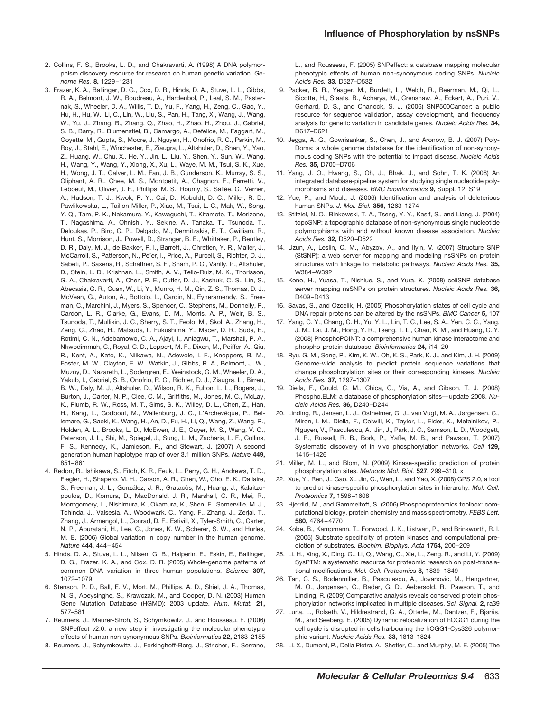- 2. Collins, F. S., Brooks, L. D., and Chakravarti, A. (1998) A DNA polymorphism discovery resource for research on human genetic variation. *Genome Res.* **8,** 1229 –1231
- 3. Frazer, K. A., Ballinger, D. G., Cox, D. R., Hinds, D. A., Stuve, L. L., Gibbs, R. A., Belmont, J. W., Boudreau, A., Hardenbol, P., Leal, S. M., Pasternak, S., Wheeler, D. A., Willis, T. D., Yu, F., Yang, H., Zeng, C., Gao, Y., Hu, H., Hu, W., Li, C., Lin, W., Liu, S., Pan, H., Tang, X., Wang, J., Wang, W., Yu, J., Zhang, B., Zhang, Q., Zhao, H., Zhao, H., Zhou, J., Gabriel, S. B., Barry, R., Blumenstiel, B., Camargo, A., Defelice, M., Faggart, M., Goyette, M., Gupta, S., Moore, J., Nguyen, H., Onofrio, R. C., Parkin, M., Roy, J., Stahl, E., Winchester, E., Ziaugra, L., Altshuler, D., Shen, Y., Yao, Z., Huang, W., Chu, X., He, Y., Jin, L., Liu, Y., Shen, Y., Sun, W., Wang, H., Wang, Y., Wang, Y., Xiong, X., Xu, L., Waye, M. M., Tsui, S. K., Xue, H., Wong, J. T., Galver, L. M., Fan, J. B., Gunderson, K., Murray, S. S., Oliphant, A. R., Chee, M. S., Montpetit, A., Chagnon, F., Ferretti, V., Leboeuf, M., Olivier, J. F., Phillips, M. S., Roumy, S., Sallée, C., Verner, A., Hudson, T. J., Kwok, P. Y., Cai, D., Koboldt, D. C., Miller, R. D., Pawlikowska, L., Taillon-Miller, P., Xiao, M., Tsui, L. C., Mak, W., Song, Y. Q., Tam, P. K., Nakamura, Y., Kawaguchi, T., Kitamoto, T., Morizono, T., Nagashima, A., Ohnishi, Y., Sekine, A., Tanaka, T., Tsunoda, T., Deloukas, P., Bird, C. P., Delgado, M., Dermitzakis, E. T., Gwilliam, R., Hunt, S., Morrison, J., Powell, D., Stranger, B. E., Whittaker, P., Bentley, D. R., Daly, M. J., de Bakker, P. I., Barrett, J., Chretien, Y. R., Maller, J., McCarroll, S., Patterson, N., Pe'er, I., Price, A., Purcell, S., Richter, D. J., Sabeti, P., Saxena, R., Schaffner, S. F., Sham, P. C., Varilly, P., Altshuler, D., Stein, L. D., Krishnan, L., Smith, A. V., Tello-Ruiz, M. K., Thorisson, G. A., Chakravarti, A., Chen, P. E., Cutler, D. J., Kashuk, C. S., Lin, S., Abecasis, G. R., Guan, W., Li, Y., Munro, H. M., Qin, Z. S., Thomas, D. J., McVean, G., Auton, A., Bottolo, L., Cardin, N., Eyheramendy, S., Freeman, C., Marchini, J., Myers, S., Spencer, C., Stephens, M., Donnelly, P., Cardon, L. R., Clarke, G., Evans, D. M., Morris, A. P., Weir, B. S., Tsunoda, T., Mullikin, J. C., Sherry, S. T., Feolo, M., Skol, A., Zhang, H., Zeng, C., Zhao, H., Matsuda, I., Fukushima, Y., Macer, D. R., Suda, E., Rotimi, C. N., Adebamowo, C. A., Ajayi, I., Aniagwu, T., Marshall, P. A., Nkwodimmah, C., Royal, C. D., Leppert, M. F., Dixon, M., Peiffer, A., Qiu, R., Kent, A., Kato, K., Niikawa, N., Adewole, I. F., Knoppers, B. M., Foster, M. W., Clayton, E. W., Watkin, J., Gibbs, R. A., Belmont, J. W., Muzny, D., Nazareth, L., Sodergren, E., Weinstock, G. M., Wheeler, D. A., Yakub, I., Gabriel, S. B., Onofrio, R. C., Richter, D. J., Ziaugra, L., Birren, B. W., Daly, M. J., Altshuler, D., Wilson, R. K., Fulton, L. L., Rogers, J., Burton, J., Carter, N. P., Clee, C. M., Griffiths, M., Jones, M. C., McLay, K., Plumb, R. W., Ross, M. T., Sims, S. K., Willey, D. L., Chen, Z., Han, H., Kang, L., Godbout, M., Wallenburg, J. C., L'Archevêque, P., Bellemare, G., Saeki, K., Wang, H., An, D., Fu, H., Li, Q., Wang, Z., Wang, R., Holden, A. L., Brooks, L. D., McEwen, J. E., Guyer, M. S., Wang, V. O., Peterson, J. L., Shi, M., Spiegel, J., Sung, L. M., Zacharia, L. F., Collins, F. S., Kennedy, K., Jamieson, R., and Stewart, J. (2007) A second generation human haplotype map of over 3.1 million SNPs. *Nature* **449,** 851– 861
- 4. Redon, R., Ishikawa, S., Fitch, K. R., Feuk, L., Perry, G. H., Andrews, T. D., Fiegler, H., Shapero, M. H., Carson, A. R., Chen, W., Cho, E. K., Dallaire, S., Freeman, J. L., González, J. R., Gratacòs, M., Huang, J., Kalaitzopoulos, D., Komura, D., MacDonald, J. R., Marshall, C. R., Mei, R., Montgomery, L., Nishimura, K., Okamura, K., Shen, F., Somerville, M. J., Tchinda, J., Valsesia, A., Woodwark, C., Yang, F., Zhang, J., Zerjal, T., Zhang, J., Armengol, L., Conrad, D. F., Estivill, X., Tyler-Smith, C., Carter, N. P., Aburatani, H., Lee, C., Jones, K. W., Scherer, S. W., and Hurles, M. E. (2006) Global variation in copy number in the human genome. *Nature* **444,** 444 – 454
- 5. Hinds, D. A., Stuve, L. L., Nilsen, G. B., Halperin, E., Eskin, E., Ballinger, D. G., Frazer, K. A., and Cox, D. R. (2005) Whole-genome patterns of common DNA variation in three human populations. *Science* **307,** 1072–1079
- 6. Stenson, P. D., Ball, E. V., Mort, M., Phillips, A. D., Shiel, J. A., Thomas, N. S., Abeysinghe, S., Krawczak, M., and Cooper, D. N. (2003) Human Gene Mutation Database (HGMD): 2003 update. *Hum. Mutat.* **21,** 577–581
- 7. Reumers, J., Maurer-Stroh, S., Schymkowitz, J., and Rousseau, F. (2006) SNPeffect v2.0: a new step in investigating the molecular phenotypic effects of human non-synonymous SNPs. *Bioinformatics* **22,** 2183–2185
- 8. Reumers, J., Schymkowitz, J., Ferkinghoff-Borg, J., Stricher, F., Serrano,

L., and Rousseau, F. (2005) SNPeffect: a database mapping molecular phenotypic effects of human non-synonymous coding SNPs. *Nucleic Acids Res.* **33,** D527–D532

- 9. Packer, B. R., Yeager, M., Burdett, L., Welch, R., Beerman, M., Qi, L., Sicotte, H., Staats, B., Acharya, M., Crenshaw, A., Eckert, A., Puri, V., Gerhard, D. S., and Chanock, S. J. (2006) SNP500Cancer: a public resource for sequence validation, assay development, and frequency analysis for genetic variation in candidate genes. *Nucleic Acids Res.* **34,** D617–D621
- 10. Jegga, A. G., Gowrisankar, S., Chen, J., and Aronow, B. J. (2007) Poly-Doms: a whole genome database for the identification of non-synonymous coding SNPs with the potential to impact disease. *Nucleic Acids Res.* **35,** D700 –D706
- 11. Yang, J. O., Hwang, S., Oh, J., Bhak, J., and Sohn, T. K. (2008) An integrated database-pipeline system for studying single nucleotide polymorphisms and diseases. *BMC Bioinformatics* **9,** Suppl. 12, S19
- 12. Yue, P., and Moult, J. (2006) Identification and analysis of deleterious human SNPs. *J. Mol. Biol.* **356,** 1263–1274
- 13. Stitziel, N. O., Binkowski, T. A., Tseng, Y. Y., Kasif, S., and Liang, J. (2004) topoSNP: a topographic database of non-synonymous single nucleotide polymorphisms with and without known disease association. *Nucleic Acids Res.* **32,** D520 –D522
- 14. Uzun, A., Leslin, C. M., Abyzov, A., and Ilyin, V. (2007) Structure SNP (StSNP): a web server for mapping and modeling nsSNPs on protein structures with linkage to metabolic pathways. *Nucleic Acids Res.* **35,** W384 –W392
- 15. Kono, H., Yuasa, T., Nishiue, S., and Yura, K. (2008) coliSNP database server mapping nsSNPs on protein structures. *Nucleic Acids Res.* **36,** D409 –D413
- 16. Savas, S., and Ozcelik, H. (2005) Phosphorylation states of cell cycle and DNA repair proteins can be altered by the nsSNPs. *BMC Cancer* **5,** 107
- 17. Yang, C. Y., Chang, C. H., Yu, Y. L., Lin, T. C., Lee, S. A., Yen, C. C., Yang, J. M., Lai, J. M., Hong, Y. R., Tseng, T. L., Chao, K. M., and Huang, C. Y. (2008) PhosphoPOINT: a comprehensive human kinase interactome and phospho-protein database. *Bioinformatics* **24,** i14 –20
- 18. Ryu, G. M., Song, P., Kim, K. W., Oh, K. S., Park, K. J., and Kim, J. H. (2009) Genome-wide analysis to predict protein sequence variations that change phosphorylation sites or their corresponding kinases. *Nucleic Acids Res.* **37,** 1297–1307
- 19. Diella, F., Gould, C. M., Chica, C., Via, A., and Gibson, T. J. (2008) Phospho.ELM: a database of phosphorylation sites— update 2008. *Nucleic Acids Res.* **36,** D240 –D244
- 20. Linding, R., Jensen, L. J., Ostheimer, G. J., van Vugt, M. A., Jørgensen, C., Miron, I. M., Diella, F., Colwill, K., Taylor, L., Elder, K., Metalnikov, P., Nguyen, V., Pasculescu, A., Jin, J., Park, J. G., Samson, L. D., Woodgett, J. R., Russell, R. B., Bork, P., Yaffe, M. B., and Pawson, T. (2007) Systematic discovery of in vivo phosphorylation networks. *Cell* **129,** 1415–1426
- 21. Miller, M. L., and Blom, N. (2009) Kinase-specific prediction of protein phosphorylation sites. *Methods Mol. Biol.* **527,** 299 –310, x
- 22. Xue, Y., Ren, J., Gao, X., Jin, C., Wen, L., and Yao, X. (2008) GPS 2.0, a tool to predict kinase-specific phosphorylation sites in hierarchy. *Mol. Cell. Proteomics* **7,** 1598 –1608
- 23. Hjerrild, M., and Gammeltoft, S. (2006) Phosphoproteomics toolbox: computational biology, protein chemistry and mass spectrometry. *FEBS Lett.* **580,** 4764 – 4770
- 24. Kobe, B., Kampmann, T., Forwood, J. K., Listwan, P., and Brinkworth, R. I. (2005) Substrate specificity of protein kinases and computational prediction of substrates. *Biochim. Biophys. Acta* **1754,** 200 –209
- 25. Li, H., Xing, X., Ding, G., Li, Q., Wang, C., Xie, L., Zeng, R., and Li, Y. (2009) SysPTM: a systematic resource for proteomic research on post-translational modifications. *Mol. Cell. Proteomics* **8,** 1839 –1849
- 26. Tan, C. S., Bodenmiller, B., Pasculescu, A., Jovanovic, M., Hengartner, M. O., Jørgensen, C., Bader, G. D., Aebersold, R., Pawson, T., and Linding, R. (2009) Comparative analysis reveals conserved protein phosphorylation networks implicated in multiple diseases. *Sci. Signal.* **2,** ra39
- 27. Luna, L., Rolseth, V., Hildrestrand, G. A., Otterlei, M., Dantzer, F., Bjørås, M., and Seeberg, E. (2005) Dynamic relocalization of hOGG1 during the cell cycle is disrupted in cells harbouring the hOGG1-Cys326 polymorphic variant. *Nucleic Acids Res.* **33,** 1813–1824
- 28. Li, X., Dumont, P., Della Pietra, A., Shetler, C., and Murphy, M. E. (2005) The